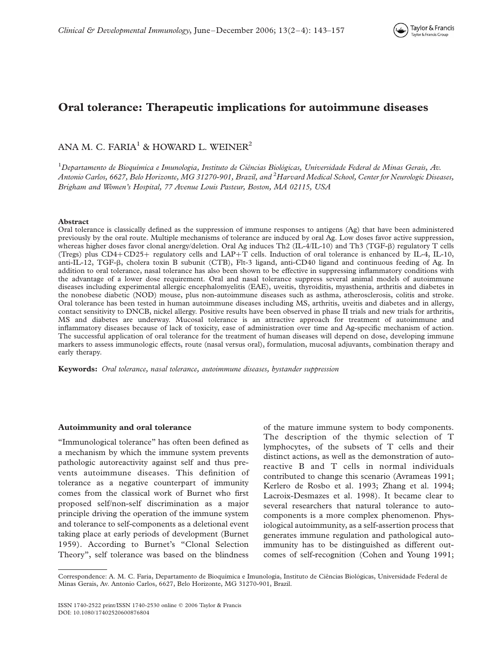

# Oral tolerance: Therapeutic implications for autoimmune diseases

# ANA M. C. FARIA<sup>1</sup> & HOWARD L. WEINER<sup>2</sup>

 $^1$ Departamento de Bioquímica e Imunologia, Instituto de Ciências Biológicas, Universidade Federal de Minas Gerais, Av. Antonio Carlos, 6627, Belo Horizonte, MG 31270-901, Brazil, and <sup>2</sup>Harvard Medical School, Center for Neurologic Diseases, Brigham and Women's Hospital, 77 Avenue Louis Pasteur, Boston, MA 02115, USA

### Abstract

Oral tolerance is classically defined as the suppression of immune responses to antigens (Ag) that have been administered previously by the oral route. Multiple mechanisms of tolerance are induced by oral Ag. Low doses favor active suppression, whereas higher doses favor clonal anergy/deletion. Oral Ag induces Th2 (IL-4/IL-10) and Th3 (TGF- $\beta$ ) regulatory T cells (Tregs) plus  $CD4+CD25+$  regulatory cells and  $LAP+T$  cells. Induction of oral tolerance is enhanced by IL-4, IL-10, anti-IL-12, TGF- $\beta$ , cholera toxin B subunit (CTB), Flt-3 ligand, anti-CD40 ligand and continuous feeding of Ag. In addition to oral tolerance, nasal tolerance has also been shown to be effective in suppressing inflammatory conditions with the advantage of a lower dose requirement. Oral and nasal tolerance suppress several animal models of autoimmune diseases including experimental allergic encephalomyelitis (EAE), uveitis, thyroiditis, myasthenia, arthritis and diabetes in the nonobese diabetic (NOD) mouse, plus non-autoimmune diseases such as asthma, atherosclerosis, colitis and stroke. Oral tolerance has been tested in human autoimmune diseases including MS, arthritis, uveitis and diabetes and in allergy, contact sensitivity to DNCB, nickel allergy. Positive results have been observed in phase II trials and new trials for arthritis, MS and diabetes are underway. Mucosal tolerance is an attractive approach for treatment of autoimmune and inflammatory diseases because of lack of toxicity, ease of administration over time and Ag-specific mechanism of action. The successful application of oral tolerance for the treatment of human diseases will depend on dose, developing immune markers to assess immunologic effects, route (nasal versus oral), formulation, mucosal adjuvants, combination therapy and early therapy.

Keywords: Oral tolerance, nasal tolerance, autoimmune diseases, bystander suppression

### Autoimmunity and oral tolerance

"Immunological tolerance" has often been defined as a mechanism by which the immune system prevents pathologic autoreactivity against self and thus prevents autoimmune diseases. This definition of tolerance as a negative counterpart of immunity comes from the classical work of Burnet who first proposed self/non-self discrimination as a major principle driving the operation of the immune system and tolerance to self-components as a deletional event taking place at early periods of development (Burnet 1959). According to Burnet's "Clonal Selection Theory", self tolerance was based on the blindness

of the mature immune system to body components. The description of the thymic selection of T lymphocytes, of the subsets of T cells and their distinct actions, as well as the demonstration of autoreactive B and T cells in normal individuals contributed to change this scenario (Avrameas 1991; Kerlero de Rosbo et al. 1993; Zhang et al. 1994; Lacroix-Desmazes et al. 1998). It became clear to several researchers that natural tolerance to autocomponents is a more complex phenomenon. Physiological autoimmunity, as a self-assertion process that generates immune regulation and pathological autoimmunity has to be distinguished as different outcomes of self-recognition (Cohen and Young 1991;

Correspondence: A. M. C. Faria, Departamento de Bioquímica e Imunologia, Instituto de Ciências Biológicas, Universidade Federal de Minas Gerais, Av. Antonio Carlos, 6627, Belo Horizonte, MG 31270-901, Brazil.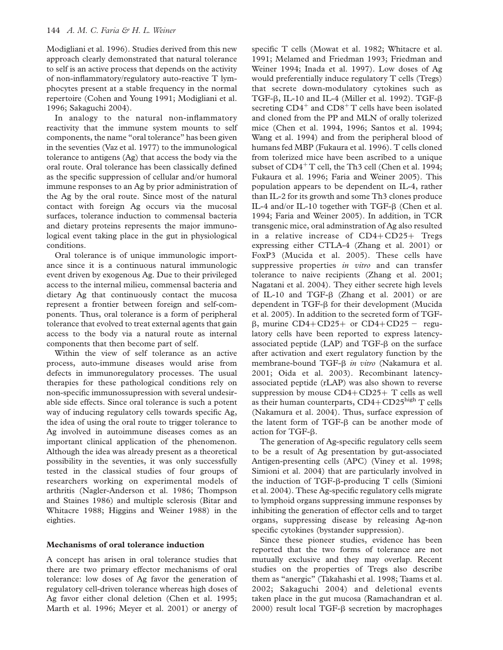Modigliani et al. 1996). Studies derived from this new approach clearly demonstrated that natural tolerance to self is an active process that depends on the activity of non-inflammatory/regulatory auto-reactive T lymphocytes present at a stable frequency in the normal repertoire (Cohen and Young 1991; Modigliani et al. 1996; Sakaguchi 2004).

In analogy to the natural non-inflammatory reactivity that the immune system mounts to self components, the name "oral tolerance" has been given in the seventies (Vaz et al. 1977) to the immunological tolerance to antigens (Ag) that access the body via the oral route. Oral tolerance has been classically defined as the specific suppression of cellular and/or humoral immune responses to an Ag by prior administration of the Ag by the oral route. Since most of the natural contact with foreign Ag occurs via the mucosal surfaces, tolerance induction to commensal bacteria and dietary proteins represents the major immunological event taking place in the gut in physiological conditions.

Oral tolerance is of unique immunologic importance since it is a continuous natural immunologic event driven by exogenous Ag. Due to their privileged access to the internal milieu, commensal bacteria and dietary Ag that continuously contact the mucosa represent a frontier between foreign and self-components. Thus, oral tolerance is a form of peripheral tolerance that evolved to treat external agents that gain access to the body via a natural route as internal components that then become part of self.

Within the view of self tolerance as an active process, auto-immune diseases would arise from defects in immunoregulatory processes. The usual therapies for these pathological conditions rely on non-specific immunossupression with several undesirable side effects. Since oral tolerance is such a potent way of inducing regulatory cells towards specific Ag, the idea of using the oral route to trigger tolerance to Ag involved in autoimmune diseases comes as an important clinical application of the phenomenon. Although the idea was already present as a theoretical possibility in the seventies, it was only successfully tested in the classical studies of four groups of researchers working on experimental models of arthritis (Nagler-Anderson et al. 1986; Thompson and Staines 1986) and multiple sclerosis (Bitar and Whitacre 1988; Higgins and Weiner 1988) in the eighties.

# Mechanisms of oral tolerance induction

A concept has arisen in oral tolerance studies that there are two primary effector mechanisms of oral tolerance: low doses of Ag favor the generation of regulatory cell-driven tolerance whereas high doses of Ag favor either clonal deletion (Chen et al. 1995; Marth et al. 1996; Meyer et al. 2001) or anergy of specific T cells (Mowat et al. 1982; Whitacre et al. 1991; Melamed and Friedman 1993; Friedman and Weiner 1994; Inada et al. 1997). Low doses of Ag would preferentially induce regulatory T cells (Tregs) that secrete down-modulatory cytokines such as TGF- $\beta$ , IL-10 and IL-4 (Miller et al. 1992). TGF- $\beta$ secreting  $CD4^+$  and  $CD8^+$ T cells have been isolated and cloned from the PP and MLN of orally tolerized mice (Chen et al. 1994, 1996; Santos et al. 1994; Wang et al. 1994) and from the peripheral blood of humans fed MBP (Fukaura et al. 1996). T cells cloned from tolerized mice have been ascribed to a unique subset of  $CD4^+$ T cell, the Th3 cell (Chen et al. 1994; Fukaura et al. 1996; Faria and Weiner 2005). This population appears to be dependent on IL-4, rather than IL-2 for its growth and some Th3 clones produce IL-4 and/or IL-10 together with TGF- $\beta$  (Chen et al. 1994; Faria and Weiner 2005). In addition, in TCR transgenic mice, oral adminstration of Ag also resulted in a relative increase of  $CD4+CD25+$  Tregs expressing either CTLA-4 (Zhang et al. 2001) or FoxP3 (Mucida et al. 2005). These cells have suppressive properties in vitro and can transfer tolerance to naive recipients (Zhang et al. 2001; Nagatani et al. 2004). They either secrete high levels of IL-10 and TGF-b (Zhang et al. 2001) or are dependent in TGF- $\beta$  for their development (Mucida et al. 2005). In addition to the secreted form of TGF- $\beta$ , murine CD4+CD25+ or CD4+CD25 - regulatory cells have been reported to express latencyassociated peptide (LAP) and  $TGF- $\beta$$  on the surface after activation and exert regulatory function by the membrane-bound TGF-β *in vitro* (Nakamura et al. 2001; Oida et al. 2003). Recombinant latencyassociated peptide (rLAP) was also shown to reverse suppression by mouse  $CD4+CD25+T$  cells as well as their human counterparts,  $CD4 + CD25^{\text{high}}$  T cells (Nakamura et al. 2004). Thus, surface expression of the latent form of  $TGF- $\beta$  can be another mode of$ action for TGF- $\beta$ .

The generation of Ag-specific regulatory cells seem to be a result of Ag presentation by gut-associated Antigen-presenting cells (APC) (Viney et al. 1998; Simioni et al. 2004) that are particularly involved in the induction of  $TGF- $\beta$ -producing T cells (Simioni)$ et al. 2004). These Ag-specific regulatory cells migrate to lymphoid organs suppressing immune responses by inhibiting the generation of effector cells and to target organs, suppressing disease by releasing Ag-non specific cytokines (bystander suppression).

Since these pioneer studies, evidence has been reported that the two forms of tolerance are not mutually exclusive and they may overlap. Recent studies on the properties of Tregs also describe them as "anergic" (Takahashi et al. 1998; Taams et al. 2002; Sakaguchi 2004) and deletional events taken place in the gut mucosa (Ramachandran et al. 2000) result local TGF- $\beta$  secretion by macrophages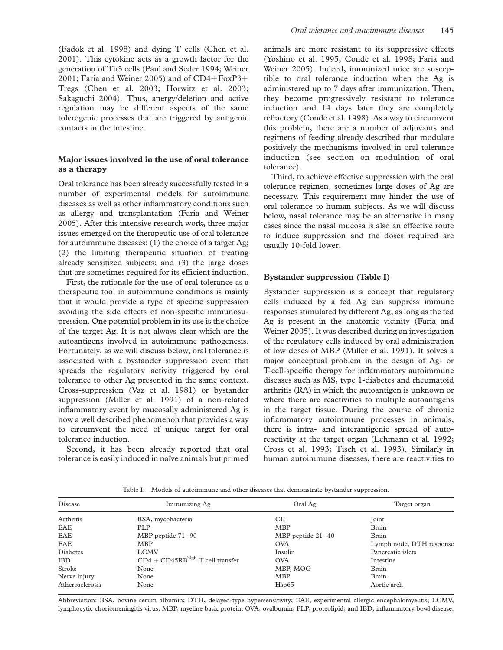(Fadok et al. 1998) and dying T cells (Chen et al. 2001). This cytokine acts as a growth factor for the generation of Th3 cells (Paul and Seder 1994; Weiner 2001; Faria and Weiner 2005) and of  $CD4 + FoxP3 +$ Tregs (Chen et al. 2003; Horwitz et al. 2003; Sakaguchi 2004). Thus, anergy/deletion and active regulation may be different aspects of the same tolerogenic processes that are triggered by antigenic contacts in the intestine.

# Major issues involved in the use of oral tolerance as a therapy

Oral tolerance has been already successfully tested in a number of experimental models for autoimmune diseases as well as other inflammatory conditions such as allergy and transplantation (Faria and Weiner 2005). After this intensive research work, three major issues emerged on the therapeutic use of oral tolerance for autoimmune diseases: (1) the choice of a target Ag; (2) the limiting therapeutic situation of treating already sensitized subjects; and (3) the large doses that are sometimes required for its efficient induction.

First, the rationale for the use of oral tolerance as a therapeutic tool in autoimmune conditions is mainly that it would provide a type of specific suppression avoiding the side effects of non-specific immunosupression. One potential problem in its use is the choice of the target Ag. It is not always clear which are the autoantigens involved in autoimmune pathogenesis. Fortunately, as we will discuss below, oral tolerance is associated with a bystander suppression event that spreads the regulatory activity triggered by oral tolerance to other Ag presented in the same context. Cross-suppression (Vaz et al. 1981) or bystander suppression (Miller et al. 1991) of a non-related inflammatory event by mucosally administered Ag is now a well described phenomenon that provides a way to circumvent the need of unique target for oral tolerance induction.

Second, it has been already reported that oral tolerance is easily induced in naïve animals but primed animals are more resistant to its suppressive effects (Yoshino et al. 1995; Conde et al. 1998; Faria and Weiner 2005). Indeed, immunized mice are susceptible to oral tolerance induction when the Ag is administered up to 7 days after immunization. Then, they become progressively resistant to tolerance induction and 14 days later they are completely refractory (Conde et al. 1998). As a way to circumvent this problem, there are a number of adjuvants and regimens of feeding already described that modulate positively the mechanisms involved in oral tolerance induction (see section on modulation of oral tolerance).

Third, to achieve effective suppression with the oral tolerance regimen, sometimes large doses of Ag are necessary. This requirement may hinder the use of oral tolerance to human subjects. As we will discuss below, nasal tolerance may be an alternative in many cases since the nasal mucosa is also an effective route to induce suppression and the doses required are usually 10-fold lower.

# Bystander suppression (Table I)

Bystander suppression is a concept that regulatory cells induced by a fed Ag can suppress immune responses stimulated by different Ag, as long as the fed Ag is present in the anatomic vicinity (Faria and Weiner 2005). It was described during an investigation of the regulatory cells induced by oral administration of low doses of MBP (Miller et al. 1991). It solves a major conceptual problem in the design of Ag- or T-cell-specific therapy for inflammatory autoimmune diseases such as MS, type 1-diabetes and rheumatoid arthritis (RA) in which the autoantigen is unknown or where there are reactivities to multiple autoantigens in the target tissue. During the course of chronic inflammatory autoimmune processes in animals, there is intra- and interantigenic spread of autoreactivity at the target organ (Lehmann et al. 1992; Cross et al. 1993; Tisch et al. 1993). Similarly in human autoimmune diseases, there are reactivities to

Table I. Models of autoimmune and other diseases that demonstrate bystander suppression.

| Disease         | Immunizing Ag                      | Oral Ag             | Target organ             |
|-----------------|------------------------------------|---------------------|--------------------------|
| Arthritis       | BSA, mycobacteria                  | CШ                  | Joint                    |
| EAE             | PLP                                | <b>MBP</b>          | Brain                    |
| EAE             | MBP peptide $71-90$                | MBP peptide $21-40$ | <b>Brain</b>             |
| EAE             | <b>MBP</b>                         | <b>OVA</b>          | Lymph node, DTH response |
| <b>Diabetes</b> | <b>LCMV</b>                        | Insulin             | Pancreatic islets        |
| <b>IBD</b>      | $CD4 + CD45RBhigh$ T cell transfer | <b>OVA</b>          | Intestine                |
| Stroke          | None                               | MBP, MOG            | Brain                    |
| Nerve injury    | None                               | <b>MBP</b>          | Brain                    |
| Atherosclerosis | None                               | Hsp65               | Aortic arch              |

Abbreviation: BSA, bovine serum albumin; DTH, delayed-type hypersensitivity; EAE, experimental allergic encephalomyelitis; LCMV, lymphocytic choriomeningitis virus; MBP, myeline basic protein, OVA, ovalbumin; PLP, proteolipid; and IBD, inflammatory bowl disease.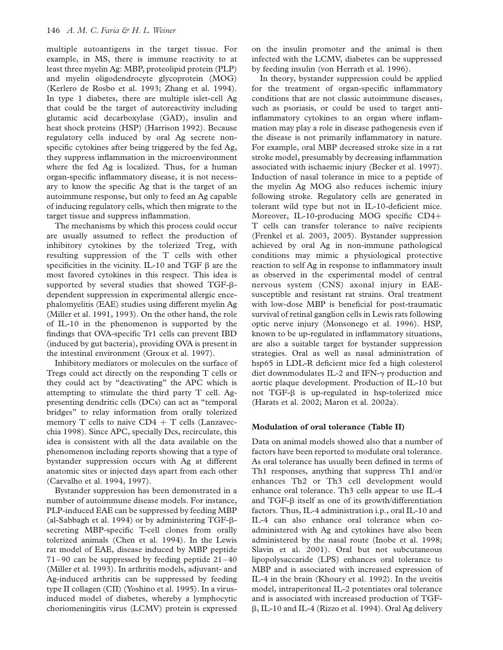multiple autoantigens in the target tissue. For example, in MS, there is immune reactivity to at least three myelin Ag: MBP, proteolipid protein (PLP) and myelin oligodendrocyte glycoprotein (MOG) (Kerlero de Rosbo et al. 1993; Zhang et al. 1994). In type 1 diabetes, there are multiple islet-cell Ag that could be the target of autoreactivity including glutamic acid decarboxylase (GAD), insulin and heat shock proteins (HSP) (Harrison 1992). Because regulatory cells induced by oral Ag secrete nonspecific cytokines after being triggered by the fed Ag, they suppress inflammation in the microenvironment where the fed Ag is localized. Thus, for a human organ-specific inflammatory disease, it is not necessary to know the specific Ag that is the target of an autoimmune response, but only to feed an Ag capable of inducing regulatory cells, which then migrate to the target tissue and suppress inflammation.

The mechanisms by which this process could occur are usually assumed to reflect the production of inhibitory cytokines by the tolerized Treg, with resulting suppression of the T cells with other specificities in the vicinity. IL-10 and TGF  $\beta$  are the most favored cytokines in this respect. This idea is supported by several studies that showed TGF-bdependent suppression in experimental allergic encephalomyelitis (EAE) studies using different myelin Ag (Miller et al. 1991, 1993). On the other hand, the role of IL-10 in the phenomenon is supported by the findings that OVA-specific Tr1 cells can prevent IBD (induced by gut bacteria), providing OVA is present in the intestinal environment (Groux et al. 1997).

Inhibitory mediators or molecules on the surface of Tregs could act directly on the responding T cells or they could act by "deactivating" the APC which is attempting to stimulate the third party T cell. Agpresenting dendritic cells (DCs) can act as "temporal bridges" to relay information from orally tolerized memory T cells to naive  $CD4 + T$  cells (Lanzavecchia 1998). Since APC, specially Dcs, recirculate, this idea is consistent with all the data available on the phenomenon including reports showing that a type of bystander suppression occurs with Ag at different anatomic sites or injected days apart from each other (Carvalho et al. 1994, 1997).

Bystander suppression has been demonstrated in a number of autoimmune disease models. For instance, PLP-induced EAE can be suppressed by feeding MBP (al-Sabbagh et al. 1994) or by administering  $TGF-\beta$ secreting MBP-specific T-cell clones from orally tolerized animals (Chen et al. 1994). In the Lewis rat model of EAE, disease induced by MBP peptide 71–90 can be suppressed by feeding peptide 21–40 (Miller et al. 1993). In arthritis models, adjuvant- and Ag-induced arthritis can be suppressed by feeding type II collagen (CII) (Yoshino et al. 1995). In a virusinduced model of diabetes, whereby a lymphocytic choriomeningitis virus (LCMV) protein is expressed on the insulin promoter and the animal is then infected with the LCMV, diabetes can be suppressed by feeding insulin (von Herrath et al. 1996).

In theory, bystander suppression could be applied for the treatment of organ-specific inflammatory conditions that are not classic autoimmune diseases, such as psoriasis, or could be used to target antiinflammatory cytokines to an organ where inflammation may play a role in disease pathogenesis even if the disease is not primarily inflammatory in nature. For example, oral MBP decreased stroke size in a rat stroke model, presumably by decreasing inflammation associated with ischaemic injury (Becker et al. 1997). Induction of nasal tolerance in mice to a peptide of the myelin Ag MOG also reduces ischemic injury following stroke. Regulatory cells are generated in tolerant wild type but not in IL-10-deficient mice. Moreover, IL-10-producing MOG specific  $CD4+$ T cells can transfer tolerance to naïve recipients (Frenkel et al. 2003, 2005). Bystander suppression achieved by oral Ag in non-immune pathological conditions may mimic a physiological protective reaction to self Ag in response to inflammatory insult as observed in the experimental model of central nervous system (CNS) axonal injury in EAEsusceptible and resistant rat strains. Oral treatment with low-dose MBP is beneficial for post-traumatic survival of retinal ganglion cells in Lewis rats following optic nerve injury (Monsonego et al. 1996). HSP, known to be up-regulated in inflammatory situations, are also a suitable target for bystander suppression strategies. Oral as well as nasal administration of hsp65 in LDL-R deficient mice fed a high colesterol diet downmodulates IL-2 and IFN- $\gamma$  production and aortic plaque development. Production of IL-10 but not TGF- $\beta$  is up-regulated in hsp-tolerized mice (Harats et al. 2002; Maron et al. 2002a).

# Modulation of oral tolerance (Table II)

Data on animal models showed also that a number of factors have been reported to modulate oral tolerance. As oral tolerance has usually been defined in terms of Th1 responses, anything that suppress Th1 and/or enhances Th2 or Th3 cell development would enhance oral tolerance. Th3 cells appear to use IL-4 and TGF- $\beta$  itself as one of its growth/differentiation factors. Thus, IL-4 administration i.p., oral IL-10 and IL-4 can also enhance oral tolerance when coadministered with Ag and cytokines have also been administered by the nasal route (Inobe et al. 1998; Slavin et al. 2001). Oral but not subcutaneous lipopolysaccaride (LPS) enhances oral tolerance to MBP and is associated with increased expression of IL-4 in the brain (Khoury et al. 1992). In the uveitis model, intraperitoneal IL-2 potentiates oral tolerance and is associated with increased production of TGF- $\beta$ , IL-10 and IL-4 (Rizzo et al. 1994). Oral Ag delivery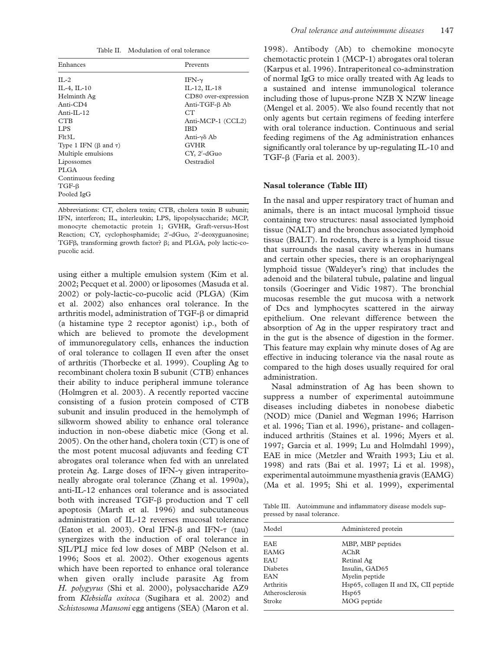| Enhances                        | Prevents             |
|---------------------------------|----------------------|
| $II - 2$                        | IFN- $\gamma$        |
| IL-4, IL-10                     | $IL-12, IL-18$       |
| Helminth Ag                     | CD80 over-expression |
| Anti-CD4                        | Anti-TGF-β Ab        |
| Anti-II $-12$                   | CT <sup>-</sup>      |
| <b>CTB</b>                      | Anti-MCP-1 (CCL2)    |
| LPS                             | <b>IBD</b>           |
| F1t3L                           | Anti-γδ Ab           |
| Type 1 IFN $(\beta$ and $\tau)$ | <b>GVHR</b>          |
| Multiple emulsions              | CY, 2'-dGuo          |
| Lipossomes                      | Oestradiol           |
| PLGA                            |                      |
| Continuous feeding              |                      |
| $TGF-\beta$                     |                      |
| Pooled IgG                      |                      |

Abbreviations: CT, cholera toxin; CTB, cholera toxin B subunit; IFN, interferon; IL, interleukin; LPS, lipopolysaccharide; MCP, monocyte chemotactic protein 1; GVHR, Graft-versus-Host Reaction; CY, cyclophosphamide; 2'-dGuo, 2'-deoxyguanosine; TGF $\beta$ , transforming growth factor?  $\beta$ ; and PLGA, poly lactic-copucolic acid.

using either a multiple emulsion system (Kim et al. 2002; Pecquet et al. 2000) or liposomes (Masuda et al. 2002) or poly-lactic-co-pucolic acid (PLGA) (Kim et al. 2002) also enhances oral tolerance. In the arthritis model, administration of TGF- $\beta$  or dimaprid (a histamine type 2 receptor agonist) i.p., both of which are believed to promote the development of immunoregulatory cells, enhances the induction of oral tolerance to collagen II even after the onset of arthritis (Thorbecke et al. 1999). Coupling Ag to recombinant cholera toxin B subunit (CTB) enhances their ability to induce peripheral immune tolerance (Holmgren et al. 2003). A recently reported vaccine consisting of a fusion protein composed of CTB subunit and insulin produced in the hemolymph of silkworm showed ability to enhance oral tolerance induction in non-obese diabetic mice (Gong et al. 2005). On the other hand, cholera toxin (CT) is one of the most potent mucosal adjuvants and feeding CT abrogates oral tolerance when fed with an unrelated protein Ag. Large doses of IFN- $\gamma$  given intraperitoneally abrogate oral tolerance (Zhang et al. 1990a), anti-IL-12 enhances oral tolerance and is associated both with increased TGF- $\beta$  production and T cell apoptosis (Marth et al. 1996) and subcutaneous administration of IL-12 reverses mucosal tolerance (Eaton et al. 2003). Oral IFN- $\beta$  and IFN- $\tau$  (tau) synergizes with the induction of oral tolerance in SJL/PLJ mice fed low doses of MBP (Nelson et al. 1996; Soos et al. 2002). Other exogenous agents which have been reported to enhance oral tolerance when given orally include parasite Ag from H. polygyrus (Shi et al. 2000), polysaccharide AZ9 from Klebsiella oxitoca (Sugihara et al. 2002) and Schistosoma Mansoni egg antigens (SEA) (Maron et al.

1998). Antibody (Ab) to chemokine monocyte chemotactic protein 1 (MCP-1) abrogates oral toleran (Karpus et al. 1996). Intraperitoneal co-adminstration of normal IgG to mice orally treated with Ag leads to a sustained and intense immunological tolerance including those of lupus-prone NZB X NZW lineage (Mengel et al. 2005). We also found recently that not only agents but certain regimens of feeding interfere with oral tolerance induction. Continuous and serial feeding regimens of the Ag administration enhances significantly oral tolerance by up-regulating IL-10 and TGF- $\beta$  (Faria et al. 2003).

### Nasal tolerance (Table III)

In the nasal and upper respiratory tract of human and animals, there is an intact mucosal lymphoid tissue containing two structures: nasal associated lymphoid tissue (NALT) and the bronchus associated lymphoid tissue (BALT). In rodents, there is a lymphoid tissue that surrounds the nasal cavity whereas in humans and certain other species, there is an orophariyngeal lymphoid tissue (Waldeyer's ring) that includes the adenoid and the bilateral tubule, palatine and lingual tonsils (Goeringer and Vidic 1987). The bronchial mucosas resemble the gut mucosa with a network of Dcs and lymphocytes scattered in the airway epithelium. One relevant difference between the absorption of Ag in the upper respiratory tract and in the gut is the absence of digestion in the former. This feature may explain why minute doses of Ag are effective in inducing tolerance via the nasal route as compared to the high doses usually required for oral administration.

Nasal adminstration of Ag has been shown to suppress a number of experimental autoimmune diseases including diabetes in nonobese diabetic (NOD) mice (Daniel and Wegman 1996; Harrison et al. 1996; Tian et al. 1996), pristane- and collageninduced arthritis (Staines et al. 1996; Myers et al. 1997; Garcia et al. 1999; Lu and Holmdahl 1999), EAE in mice (Metzler and Wraith 1993; Liu et al. 1998) and rats (Bai et al. 1997; Li et al. 1998), experimental autoimmune myasthenia gravis (EAMG) (Ma et al. 1995; Shi et al. 1999), experimental

Table III. Autoimmune and inflammatory disease models suppressed by nasal tolerance.

| Model           | Administered protein                   |
|-----------------|----------------------------------------|
| EAE             | MBP, MBP peptides                      |
| EAMG            | AChR                                   |
| EAU             | Retinal Ag                             |
| Diabetes        | Insulin, GAD65                         |
| EAN             | Myelin peptide                         |
| Arthritis       | Hsp65, collagen II and IX, CII peptide |
| Atherosclerosis | Hsp65                                  |
| Stroke          | MOG peptide                            |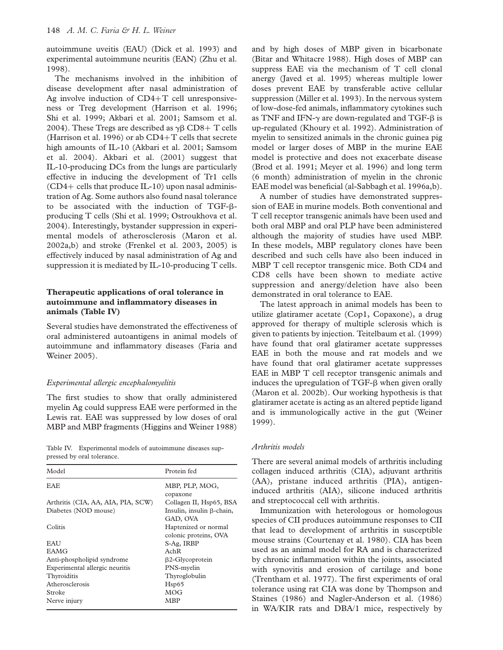autoimmune uveitis (EAU) (Dick et al. 1993) and experimental autoimmune neuritis (EAN) (Zhu et al. 1998).

The mechanisms involved in the inhibition of disease development after nasal administration of Ag involve induction of  $CD4+T$  cell unresponsiveness or Treg development (Harrison et al. 1996; Shi et al. 1999; Akbari et al. 2001; Samsom et al. 2004). These Tregs are described as  $\gamma\beta$  CD8+ T cells (Harrison et al. 1996) or ab  $CD4+T$  cells that secrete high amounts of IL-10 (Akbari et al. 2001; Samsom et al. 2004). Akbari et al. (2001) suggest that IL-10-producing DCs from the lungs are particularly effective in inducing the development of Tr1 cells  $(CD4+$  cells that produce IL-10) upon nasal administration of Ag. Some authors also found nasal tolerance to be associated with the induction of TGF-bproducing T cells (Shi et al. 1999; Ostroukhova et al. 2004). Interestingly, bystander suppression in experimental models of atherosclerosis (Maron et al. 2002a,b) and stroke (Frenkel et al. 2003, 2005) is effectively induced by nasal administration of Ag and suppression it is mediated by IL-10-producing T cells.

# Therapeutic applications of oral tolerance in autoimmune and inflammatory diseases in animals (Table IV)

Several studies have demonstrated the effectiveness of oral administered autoantigens in animal models of autoimmune and inflammatory diseases (Faria and Weiner 2005).

### Experimental allergic encephalomyelitis

The first studies to show that orally administered myelin Ag could suppress EAE were performed in the Lewis rat. EAE was suppressed by low doses of oral MBP and MBP fragments (Higgins and Weiner 1988)

Table IV. Experimental models of autoimmune diseases suppressed by oral tolerance.

| Model                              | Protein fed                                               |
|------------------------------------|-----------------------------------------------------------|
| <b>EAE</b>                         | MBP, PLP, MOG,<br>copaxone                                |
| Arthritis (CIA, AA, AIA, PIA, SCW) | Collagen II, Hsp65, BSA                                   |
| Diabetes (NOD mouse)               | Insulin, insulin B-chain,                                 |
| Colitis                            | GAD, OVA<br>Haptenized or normal<br>colonic proteins, OVA |
| <b>EAU</b>                         | S-Ag, IRBP                                                |
| <b>EAMG</b>                        | AchR                                                      |
| Anti-phospholipid syndrome         | β2-Glycoprotein                                           |
| Experimental allergic neuritis     | PNS-myelin                                                |
| Thyroiditis                        | Thyroglobulin                                             |
| Atherosclerosis                    | Hsp65                                                     |
| Stroke                             | <b>MOG</b>                                                |
| Nerve injury                       | MBP                                                       |

and by high doses of MBP given in bicarbonate (Bitar and Whitacre 1988). High doses of MBP can suppress EAE via the mechanism of T cell clonal anergy (Javed et al. 1995) whereas multiple lower doses prevent EAE by transferable active cellular suppression (Miller et al. 1993). In the nervous system of low-dose-fed animals, inflammatory cytokines such as TNF and IFN- $\gamma$  are down-regulated and TGF- $\beta$  is up-regulated (Khoury et al. 1992). Administration of myelin to sensitized animals in the chronic guinea pig model or larger doses of MBP in the murine EAE model is protective and does not exacerbate disease (Brod et al. 1991; Meyer et al. 1996) and long term (6 month) administration of myelin in the chronic EAE model was beneficial (al-Sabbagh et al. 1996a,b).

A number of studies have demonstrated suppression of EAE in murine models. Both conventional and T cell receptor transgenic animals have been used and both oral MBP and oral PLP have been administered although the majority of studies have used MBP. In these models, MBP regulatory clones have been described and such cells have also been induced in MBP T cell receptor transgenic mice. Both CD4 and CD8 cells have been shown to mediate active suppression and anergy/deletion have also been demonstrated in oral tolerance to EAE.

The latest approach in animal models has been to utilize glatiramer acetate (Cop1, Copaxone), a drug approved for therapy of multiple sclerosis which is given to patients by injection. Teitelbaum et al. (1999) have found that oral glatiramer acetate suppresses EAE in both the mouse and rat models and we have found that oral glatiramer acetate suppresses EAE in MBP T cell receptor transgenic animals and induces the upregulation of  $TGF- $\beta$  when given orally$ (Maron et al. 2002b). Our working hypothesis is that glatiramer acetate is acting as an altered peptide ligand and is immunologically active in the gut (Weiner 1999).

### Arthritis models

There are several animal models of arthritis including collagen induced arthritis (CIA), adjuvant arthritis (AA), pristane induced arthritis (PIA), antigeninduced arthritis (AIA), silicone induced arthritis and streptococcal cell with arthritis.

Immunization with heterologous or homologous species of CII produces autoimmune responses to CII that lead to development of arthritis in susceptible mouse strains (Courtenay et al. 1980). CIA has been used as an animal model for RA and is characterized by chronic inflammation within the joints, associated with synovitis and erosion of cartilage and bone (Trentham et al. 1977). The first experiments of oral tolerance using rat CIA was done by Thompson and Staines (1986) and Nagler-Anderson et al. (1986) in WA/KIR rats and DBA/1 mice, respectively by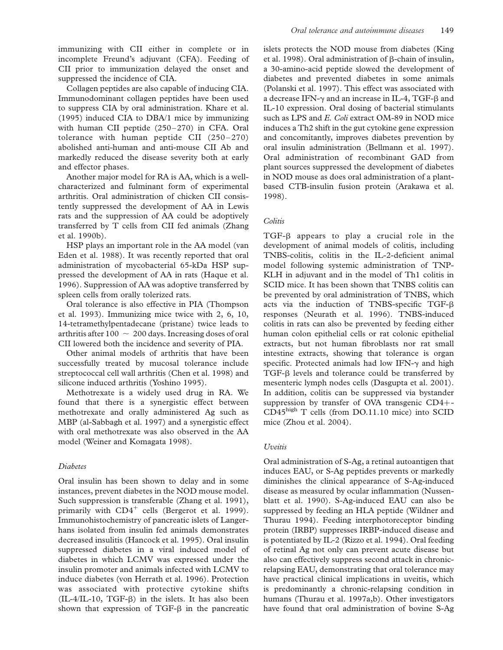immunizing with CII either in complete or in incomplete Freund's adjuvant (CFA). Feeding of CII prior to immunization delayed the onset and suppressed the incidence of CIA.

Collagen peptides are also capable of inducing CIA. Immunodominant collagen peptides have been used to suppress CIA by oral administration. Khare et al. (1995) induced CIA to DBA/1 mice by immunizing with human CII peptide (250–270) in CFA. Oral tolerance with human peptide CII (250–270) abolished anti-human and anti-mouse CII Ab and markedly reduced the disease severity both at early and effector phases.

Another major model for RA is AA, which is a wellcharacterized and fulminant form of experimental arthritis. Oral administration of chicken CII consistently suppressed the development of AA in Lewis rats and the suppression of AA could be adoptively transferred by T cells from CII fed animals (Zhang et al. 1990b).

HSP plays an important role in the AA model (van Eden et al. 1988). It was recently reported that oral administration of mycobacterial 65-kDa HSP suppressed the development of AA in rats (Haque et al. 1996). Suppression of AA was adoptive transferred by spleen cells from orally tolerized rats.

Oral tolerance is also effective in PIA (Thompson et al. 1993). Immunizing mice twice with 2, 6, 10, 14-tetramethylpentadecane (pristane) twice leads to arthritis after  $100 \sim 200$  days. Increasing doses of oral CII lowered both the incidence and severity of PIA.

Other animal models of arthritis that have been successfully treated by mucosal tolerance include streptococcal cell wall arthritis (Chen et al. 1998) and silicone induced arthritis (Yoshino 1995).

Methotrexate is a widely used drug in RA. We found that there is a synergistic effect between methotrexate and orally administered Ag such as MBP (al-Sabbagh et al. 1997) and a synergistic effect with oral methotrexate was also observed in the AA model (Weiner and Komagata 1998).

# Diabetes

Oral insulin has been shown to delay and in some instances, prevent diabetes in the NOD mouse model. Such suppression is transferable (Zhang et al. 1991), primarily with  $CD4^+$  cells (Bergerot et al. 1999). Immunohistochemistry of pancreatic islets of Langerhans isolated from insulin fed animals demonstrates decreased insulitis (Hancock et al. 1995). Oral insulin suppressed diabetes in a viral induced model of diabetes in which LCMV was expressed under the insulin promoter and animals infected with LCMV to induce diabetes (von Herrath et al. 1996). Protection was associated with protective cytokine shifts  $(II-4/II-10, TGF- $\beta$ )$  in the islets. It has also been shown that expression of  $TGF- $\beta$  in the pancreatic$  islets protects the NOD mouse from diabetes (King et al. 1998). Oral administration of  $\beta$ -chain of insulin, a 30-amino-acid peptide slowed the development of diabetes and prevented diabetes in some animals (Polanski et al. 1997). This effect was associated with a decrease IFN- $\gamma$  and an increase in IL-4, TGF- $\beta$  and IL-10 expression. Oral dosing of bacterial stimulants such as LPS and E. Coli extract OM-89 in NOD mice induces a Th2 shift in the gut cytokine gene expression and concomitantly, improves diabetes prevention by oral insulin administration (Bellmann et al. 1997). Oral administration of recombinant GAD from plant sources suppressed the development of diabetes in NOD mouse as does oral administration of a plantbased CTB-insulin fusion protein (Arakawa et al. 1998).

# **Colitis**

TGF-b appears to play a crucial role in the development of animal models of colitis, including TNBS-colitis, colitis in the IL-2-deficient animal model following systemic administration of TNP-KLH in adjuvant and in the model of Th1 colitis in SCID mice. It has been shown that TNBS colitis can be prevented by oral administration of TNBS, which acts via the induction of TNBS-specific TGF-b responses (Neurath et al. 1996). TNBS-induced colitis in rats can also be prevented by feeding either human colon epithelial cells or rat colonic epithelial extracts, but not human fibroblasts nor rat small intestine extracts, showing that tolerance is organ specific. Protected animals had low IFN- $\gamma$  and high  $TGF- $\beta$  levels and tolerance could be transferred by$ mesenteric lymph nodes cells (Dasgupta et al. 2001). In addition, colitis can be suppressed via bystander suppression by transfer of OVA transgenic  $CD4+$ -CD45high T cells (from DO.11.10 mice) into SCID mice (Zhou et al. 2004).

# Uveitis

Oral administration of S-Ag, a retinal autoantigen that induces EAU, or S-Ag peptides prevents or markedly diminishes the clinical appearance of S-Ag-induced disease as measured by ocular inflammation (Nussenblatt et al. 1990). S-Ag-induced EAU can also be suppressed by feeding an HLA peptide (Wildner and Thurau 1994). Feeding interphotoreceptor binding protein (IRBP) suppresses IRBP-induced disease and is potentiated by IL-2 (Rizzo et al. 1994). Oral feeding of retinal Ag not only can prevent acute disease but also can effectively suppress second attack in chronicrelapsing EAU, demonstrating that oral tolerance may have practical clinical implications in uveitis, which is predominantly a chronic-relapsing condition in humans (Thurau et al. 1997a,b). Other investigators have found that oral administration of bovine S-Ag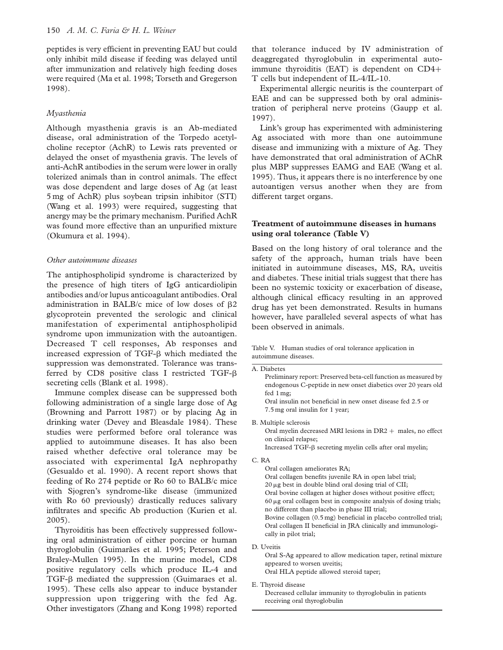peptides is very efficient in preventing EAU but could only inhibit mild disease if feeding was delayed until after immunization and relatively high feeding doses were required (Ma et al. 1998; Torseth and Gregerson 1998).

# Myasthenia

Although myasthenia gravis is an Ab-mediated disease, oral administration of the Torpedo acetylcholine receptor (AchR) to Lewis rats prevented or delayed the onset of myasthenia gravis. The levels of anti-AchR antibodies in the serum were lower in orally tolerized animals than in control animals. The effect was dose dependent and large doses of Ag (at least 5 mg of AchR) plus soybean tripsin inhibitor (STI) (Wang et al. 1993) were required, suggesting that anergy may be the primary mechanism. Purified AchR was found more effective than an unpurified mixture (Okumura et al. 1994).

# Other autoimmune diseases

The antiphospholipid syndrome is characterized by the presence of high titers of IgG anticardiolipin antibodies and/or lupus anticoagulant antibodies. Oral administration in BALB/c mice of low doses of  $\beta$ 2 glycoprotein prevented the serologic and clinical manifestation of experimental antiphospholipid syndrome upon immunization with the autoantigen. Decreased T cell responses, Ab responses and increased expression of  $TGF- $\beta$  which mediated the$ suppression was demonstrated. Tolerance was transferred by CD8 positive class I restricted TGF- $\beta$ secreting cells (Blank et al. 1998).

Immune complex disease can be suppressed both following administration of a single large dose of Ag (Browning and Parrott 1987) or by placing Ag in drinking water (Devey and Bleasdale 1984). These studies were performed before oral tolerance was applied to autoimmune diseases. It has also been raised whether defective oral tolerance may be associated with experimental IgA nephropathy (Gesualdo et al. 1990). A recent report shows that feeding of Ro 274 peptide or Ro 60 to BALB/c mice with Sjogren's syndrome-like disease (immunized with Ro 60 previously) drastically reduces salivary infiltrates and specific Ab production (Kurien et al. 2005).

Thyroiditis has been effectively suppressed following oral administration of either porcine or human thyroglobulin (Guimarães et al. 1995; Peterson and Braley-Mullen 1995). In the murine model, CD8 positive regulatory cells which produce IL-4 and TGF-b mediated the suppression (Guimaraes et al. 1995). These cells also appear to induce bystander suppression upon triggering with the fed Ag. Other investigators (Zhang and Kong 1998) reported that tolerance induced by IV administration of deaggregated thyroglobulin in experimental autoimmune thyroiditis (EAT) is dependent on  $CD4+$ T cells but independent of IL-4/IL-10.

Experimental allergic neuritis is the counterpart of EAE and can be suppressed both by oral administration of peripheral nerve proteins (Gaupp et al. 1997).

Link's group has experimented with administering Ag associated with more than one autoimmune disease and immunizing with a mixture of Ag. They have demonstrated that oral administration of AChR plus MBP suppresses EAMG and EAE (Wang et al. 1995). Thus, it appears there is no interference by one autoantigen versus another when they are from different target organs.

# Treatment of autoimmune diseases in humans using oral tolerance (Table V)

Based on the long history of oral tolerance and the safety of the approach, human trials have been initiated in autoimmune diseases, MS, RA, uveitis and diabetes. These initial trials suggest that there has been no systemic toxicity or exacerbation of disease, although clinical efficacy resulting in an approved drug has yet been demonstrated. Results in humans however, have paralleled several aspects of what has been observed in animals.

#### Table V. Human studies of oral tolerance application in autoimmune diseases.

A. Diabetes Preliminary report: Preserved beta-cell function as measured by endogenous C-peptide in new onset diabetics over 20 years old fed 1 mg; Oral insulin not beneficial in new onset disease fed 2.5 or 7.5 mg oral insulin for 1 year;

B. Multiple sclerosis Oral myelin decreased MRI lesions in  $DR2 +$  males, no effect on clinical relapse; Increased TGF-b secreting myelin cells after oral myelin;

C. RA

Oral collagen ameliorates RA; Oral collagen benefits juvenile RA in open label trial;  $20 \mu$ g best in double blind oral dosing trial of CII; Oral bovine collagen at higher doses without positive effect;  $60 \mu$ g oral collagen best in composite analysis of dosing trials; no different than placebo in phase III trial; Bovine collagen (0.5 mg) beneficial in placebo controlled trial; Oral collagen II beneficial in JRA clinically and immunologically in pilot trial;

D. Uveitis

Oral S-Ag appeared to allow medication taper, retinal mixture appeared to worsen uveitis; Oral HLA peptide allowed steroid taper;

E. Thyroid disease

Decreased cellular immunity to thyroglobulin in patients receiving oral thyroglobulin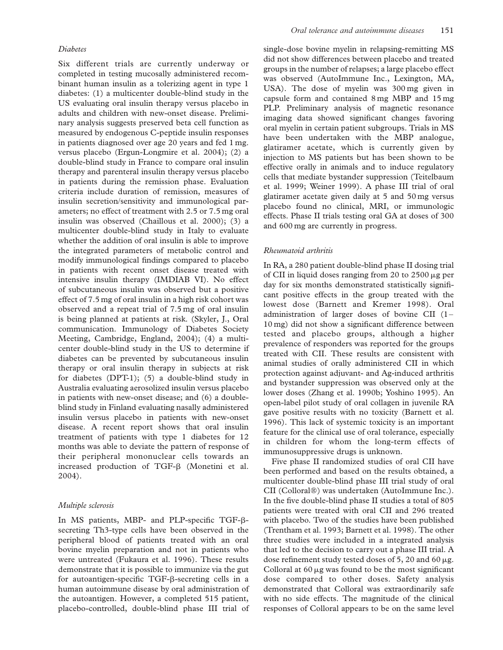### Diabetes

Six different trials are currently underway or completed in testing mucosally administered recombinant human insulin as a tolerizing agent in type 1 diabetes: (1) a multicenter double-blind study in the US evaluating oral insulin therapy versus placebo in adults and children with new-onset disease. Preliminary analysis suggests preserved beta cell function as measured by endogenous C-peptide insulin responses in patients diagnosed over age 20 years and fed 1 mg. versus placebo (Ergun-Longmire et al. 2004); (2) a double-blind study in France to compare oral insulin therapy and parenteral insulin therapy versus placebo in patients during the remission phase. Evaluation criteria include duration of remission, measures of insulin secretion/sensitivity and immunological parameters; no effect of treatment with 2.5 or 7.5 mg oral insulin was observed (Chaillous et al. 2000); (3) a multicenter double-blind study in Italy to evaluate whether the addition of oral insulin is able to improve the integrated parameters of metabolic control and modify immunological findings compared to placebo in patients with recent onset disease treated with intensive insulin therapy (IMDIAB VI). No effect of subcutaneous insulin was observed but a positive effect of 7.5 mg of oral insulin in a high risk cohort was observed and a repeat trial of 7.5 mg of oral insulin is being planned at patients at risk. (Skyler, J., Oral communication. Immunology of Diabetes Society Meeting, Cambridge, England, 2004); (4) a multicenter double-blind study in the US to determine if diabetes can be prevented by subcutaneous insulin therapy or oral insulin therapy in subjects at risk for diabetes (DPT-1); (5) a double-blind study in Australia evaluating aerosolized insulin versus placebo in patients with new-onset disease; and (6) a doubleblind study in Finland evaluating nasally administered insulin versus placebo in patients with new-onset disease. A recent report shows that oral insulin treatment of patients with type 1 diabetes for 12 months was able to deviate the pattern of response of their peripheral mononuclear cells towards an increased production of TGF-b (Monetini et al. 2004).

### Multiple sclerosis

In MS patients, MBP- and PLP-specific TGF-bsecreting Th3-type cells have been observed in the peripheral blood of patients treated with an oral bovine myelin preparation and not in patients who were untreated (Fukaura et al. 1996). These results demonstrate that it is possible to immunize via the gut for autoantigen-specific TGF-b-secreting cells in a human autoimmune disease by oral administration of the autoantigen. However, a completed 515 patient, placebo-controlled, double-blind phase III trial of single-dose bovine myelin in relapsing-remitting MS did not show differences between placebo and treated groups in the number of relapses; a large placebo effect was observed (AutoImmune Inc., Lexington, MA, USA). The dose of myelin was 300 mg given in capsule form and contained 8 mg MBP and 15 mg PLP. Preliminary analysis of magnetic resonance imaging data showed significant changes favoring oral myelin in certain patient subgroups. Trials in MS have been undertaken with the MBP analogue, glatiramer acetate, which is currently given by injection to MS patients but has been shown to be effective orally in animals and to induce regulatory cells that mediate bystander suppression (Teitelbaum et al. 1999; Weiner 1999). A phase III trial of oral glatiramer acetate given daily at 5 and 50 mg versus placebo found no clinical, MRI, or immunologic effects. Phase II trials testing oral GA at doses of 300 and 600 mg are currently in progress.

### Rheumatoid arthritis

In RA, a 280 patient double-blind phase II dosing trial of CII in liquid doses ranging from 20 to  $2500 \mu g$  per day for six months demonstrated statistically significant positive effects in the group treated with the lowest dose (Barnett and Kremer 1998). Oral administration of larger doses of bovine CII (1– 10 mg) did not show a significant difference between tested and placebo groups, although a higher prevalence of responders was reported for the groups treated with CII. These results are consistent with animal studies of orally administered CII in which protection against adjuvant- and Ag-induced arthritis and bystander suppression was observed only at the lower doses (Zhang et al. 1990b; Yoshino 1995). An open-label pilot study of oral collagen in juvenile RA gave positive results with no toxicity (Barnett et al. 1996). This lack of systemic toxicity is an important feature for the clinical use of oral tolerance, especially in children for whom the long-term effects of immunosuppressive drugs is unknown.

Five phase II randomized studies of oral CII have been performed and based on the results obtained, a multicenter double-blind phase III trial study of oral CII (Colloral®) was undertaken (AutoImmune Inc.). In the five double-blind phase II studies a total of 805 patients were treated with oral CII and 296 treated with placebo. Two of the studies have been published (Trentham et al. 1993; Barnett et al. 1998). The other three studies were included in a integrated analysis that led to the decision to carry out a phase III trial. A dose refinement study tested doses of 5, 20 and 60  $\mu$ g. Colloral at  $60 \mu$ g was found to be the most significant dose compared to other doses. Safety analysis demonstrated that Colloral was extraordinarily safe with no side effects. The magnitude of the clinical responses of Colloral appears to be on the same level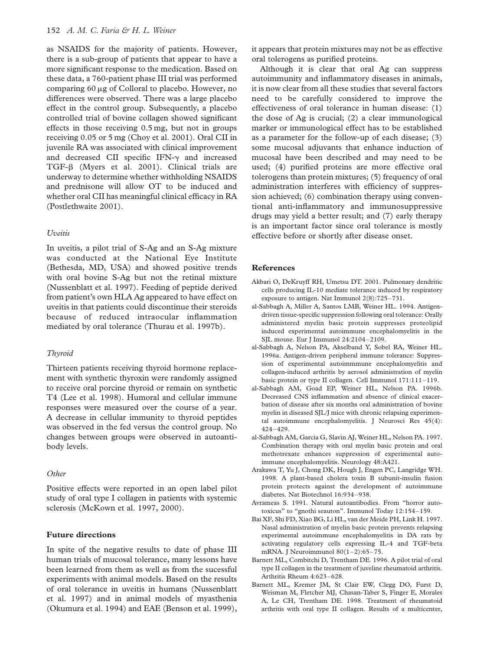### 152 A. M. C. Faria & H. L. Weiner

as NSAIDS for the majority of patients. However, there is a sub-group of patients that appear to have a more significant response to the medication. Based on these data, a 760-patient phase III trial was performed comparing  $60 \mu$ g of Colloral to placebo. However, no differences were observed. There was a large placebo effect in the control group. Subsequently, a placebo controlled trial of bovine collagen showed significant effects in those receiving 0.5 mg, but not in groups receiving 0.05 or 5 mg (Choy et al. 2001). Oral CII in juvenile RA was associated with clinical improvement and decreased CII specific IFN- $\gamma$  and increased TGF-b (Myers et al. 2001). Clinical trials are underway to determine whether withholding NSAIDS and prednisone will allow OT to be induced and whether oral CII has meaningful clinical efficacy in RA (Postlethwaite 2001).

### Uveitis

In uveitis, a pilot trial of S-Ag and an S-Ag mixture was conducted at the National Eye Institute (Bethesda, MD, USA) and showed positive trends with oral bovine S-Ag but not the retinal mixture (Nussenblatt et al. 1997). Feeding of peptide derived from patient's own HLA Ag appeared to have effect on uveitis in that patients could discontinue their steroids because of reduced intraocular inflammation mediated by oral tolerance (Thurau et al. 1997b).

### Thyroid

Thirteen patients receiving thyroid hormone replacement with synthetic thyroxin were randomly assigned to receive oral porcine thyroid or remain on synthetic T4 (Lee et al. 1998). Humoral and cellular immune responses were measured over the course of a year. A decrease in cellular immunity to thyroid peptides was observed in the fed versus the control group. No changes between groups were observed in autoantibody levels.

### **Other**

Positive effects were reported in an open label pilot study of oral type I collagen in patients with systemic sclerosis (McKown et al. 1997, 2000).

# Future directions

In spite of the negative results to date of phase III human trials of mucosal tolerance, many lessons have been learned from them as well as from the sucessful experiments with animal models. Based on the results of oral tolerance in uveitis in humans (Nussenblatt et al. 1997) and in animal models of myasthenia (Okumura et al. 1994) and EAE (Benson et al. 1999), it appears that protein mixtures may not be as effective oral tolerogens as purified proteins.

Although it is clear that oral Ag can suppress autoimmunity and inflammatory diseases in animals, it is now clear from all these studies that several factors need to be carefully considered to improve the effectiveness of oral tolerance in human disease: (1) the dose of Ag is crucial; (2) a clear immunological marker or immunological effect has to be established as a parameter for the follow-up of each disease; (3) some mucosal adjuvants that enhance induction of mucosal have been described and may need to be used; (4) purified proteins are more effective oral tolerogens than protein mixtures; (5) frequency of oral administration interferes with efficiency of suppression achieved; (6) combination therapy using conventional anti-inflammatory and immunosuppressive drugs may yield a better result; and (7) early therapy is an important factor since oral tolerance is mostly effective before or shortly after disease onset.

#### References

- Akbari O, DeKruyff RH, Umetsu DT. 2001. Pulmonary dendritic cells producing IL-10 mediate tolerance induced by respiratory exposure to antigen. Nat Immunol 2(8):725–731.
- al-Sabbagh A, Miller A, Santos LMB, Weiner HL. 1994. Antigendriven tissue-specific suppression following oral tolerance: Orally administered myelin basic protein suppresses proteolipid induced experimental autoimmune encephalomyelitis in the SJL mouse. Eur J Immunol 24:2104–2109.
- al-Sabbagh A, Nelson PA, Akselband Y, Sobel RA, Weiner HL. 1996a. Antigen-driven peripheral immune tolerance: Suppression of experimental autoimmmune encephalomyelitis and collagen-induced arthritis by aerosol administration of myelin basic protein or type II collagen. Cell Immunol 171:111–119.
- al-Sabbagh AM, Goad EP, Weiner HL, Nelson PA. 1996b. Decreased CNS inflammation and absence of clinical exacerbation of disease after six months oral administration of bovine myelin in diseased SJL/J mice with chronic relapsing experimental autoimmune encephalomyelitis. J Neurosci Res 45(4): 424–429.
- al-Sabbagh AM, Garcia G, Slavin AJ, Weiner HL, Nelson PA. 1997. Combination therapy with oral myelin basic protein and oral methotrexate enhances suppression of experimental autoimmune encephalomyelitis. Neurology 48:A421.
- Arakawa T, Yu J, Chong DK, Hough J, Engen PC, Langridge WH. 1998. A plant-based cholera toxin B subunit-insulin fusion protein protects against the development of autoimmune diabetes. Nat Biotechnol 16:934–938.
- Avrameas S. 1991. Natural autoantibodies. From "horror autotoxicus" to "gnothi seauton". Immunol Today 12:154–159.
- Bai XF, Shi FD, Xiao BG, Li HL, van der Meide PH, Link H. 1997. Nasal administration of myelin basic protein prevents relapsing experimental autoimmune encephalomyelitis in DA rats by activating regulatory cells expressing IL-4 and TGF-beta mRNA. J Neuroimmunol 80(1–2):65–75.
- Barnett ML, Combitchi D, Trentham DE. 1996. A pilot trial of oral type II collagen in the treatment of juveline rheumatoid arthritis. Arthritis Rheum 4:623–628.
- Barnett ML, Kremer JM, St Clair EW, Clegg DO, Furst D, Weisman M, Fletcher MJ, Chasan-Taber S, Finger E, Morales A, Le CH, Trentham DE. 1998. Treatment of rheumatoid arthritis with oral type II collagen. Results of a multicenter,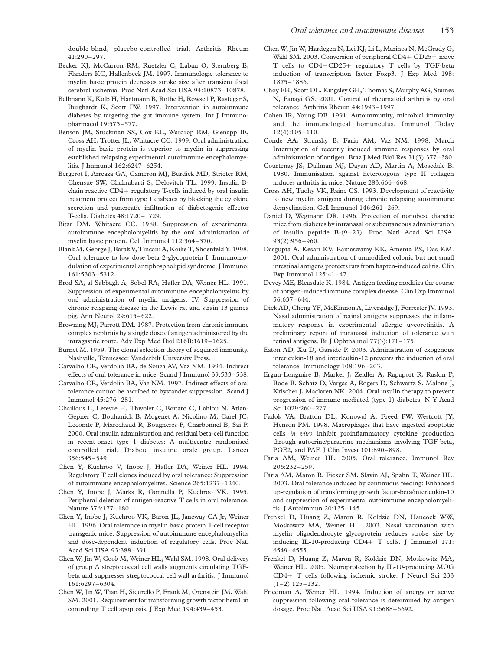double-blind, placebo-controlled trial. Arthritis Rheum 41:290–297.

- Becker KJ, McCarron RM, Ruetzler C, Laban O, Sternberg E, Flanders KC, Hallenbeck JM. 1997. Immunologic tolerance to myelin basic protein decreases stroke size after transient focal cerebral ischemia. Proc Natl Acad Sci USA 94:10873–10878.
- Bellmann K, Kolb H, Hartmann B, Rothe H, Rowsell P, Rastegar S, Burghardt K, Scott FW. 1997. Intervention in autoimmune diabetes by targeting the gut immune system. Int J Immunopharmacol 19:573–577.
- Benson JM, Stuckman SS, Cox KL, Wardrop RM, Gienapp IE, Cross AH, Trotter JL, Whitacre CC. 1999. Oral administration of myelin basic protein is superior to myelin in suppressing established relapsing experimental autoimmune encephalomyelitis. J Immunol 162:6247–6254.
- Bergerot I, Arreaza GA, Cameron MJ, Burdick MD, Strieter RM, Chensue SW, Chakrabarti S, Delovitch TL. 1999. Insulin Bchain reactive  $CD4+$  regulatory T-cells induced by oral insulin treatment protect from type 1 diabetes by blocking the cytokine secretion and pancreatic infiltration of diabetogenic effector T-cells. Diabetes 48:1720–1729.
- Bitar DM, Whitacre CC. 1988. Suppression of experimental autoimmune encephalomyelitis by the oral administration of myelin basic protein. Cell Immunol 112:364–370.
- Blank M, George J, Barak V, Tincani A, Koike T, Shoenfeld Y. 1998. Oral tolerance to low dose beta 2-glycoprotein I: Immunomodulation of experimental antiphospholipid syndrome. J Immunol 161:5303–5312.
- Brod SA, al-Sabbagh A, Sobel RA, Hafler DA, Weiner HL. 1991. Suppression of experimental autoimmune encephalomyelitis by oral administration of myelin antigens: IV. Suppression of chronic relapsing disease in the Lewis rat and strain 13 guinea pig. Ann Neurol 29:615–622.
- Browning MJ, Parrott DM. 1987. Protection from chronic immune complex nephritis by a single dose of antigen administered by the intragastric route. Adv Exp Med Biol 216B:1619–1625.
- Burnet M. 1959. The clonal selection theory of acquired immunity. Nashville, Tennessee: Vanderbilt University Press.
- Carvalho CR, Verdolin BA, de Souza AV, Vaz NM. 1994. Indirect effects of oral tolerance in mice. Scand J Immunol 39:533–538.
- Carvalho CR, Verdolin BA, Vaz NM. 1997. Indirect effects of oral tolerance cannot be ascribed to bystander suppression. Scand J Immunol 45:276–281.
- Chaillous L, Lefevre H, Thivolet C, Boitard C, Lahlou N, Atlan-Gepner C, Bouhanick B, Mogenet A, Nicolino M, Carel JC, Lecomte P, Marechaud R, Bougneres P, Charbonnel B, Sai P. 2000. Oral insulin administration and residual beta-cell function in recent-onset type 1 diabetes: A multicentre randomised controlled trial. Diabete insuline orale group. Lancet 356:545–549.
- Chen Y, Kuchroo V, Inobe J, Hafler DA, Weiner HL. 1994. Regulatory T cell clones induced by oral tolerance: Suppression of autoimmune encephalomyelites. Science 265:1237–1240.
- Chen Y, Inobe J, Marks R, Gonnella P, Kuchroo VK. 1995. Peripheral deletion of antigen-reactive T cells in oral tolerance. Nature 376:177–180.
- Chen Y, Inobe J, Kuchroo VK, Baron JL, Janeway CA Jr, Weiner HL. 1996. Oral tolerance in myelin basic protein T-cell receptor transgenic mice: Suppression of autoimmune encephalomyelitis and dose-dependent induction of regulatory cells. Proc Natl Acad Sci USA 93:388–391.
- Chen W, Jin W, Cook M, Weiner HL, Wahl SM. 1998. Oral delivery of group A streptococcal cell walls augments circulating TGFbeta and suppresses streptococcal cell wall arthritis. J Immunol 161:6297–6304.
- Chen W, Jin W, Tian H, Sicurello P, Frank M, Orenstein JM, Wahl SM. 2001. Requirement for transforming growth factor beta1 in controlling T cell apoptosis. J Exp Med 194:439–453.
- Chen W, Jin W, Hardegen N, Lei KJ, Li L, Marinos N, McGrady G, Wahl SM. 2003. Conversion of peripheral  $CD4+CD25$  naive T cells to  $CD4+CD25+$  regulatory T cells by TGF-beta induction of transcription factor Foxp3. J Exp Med 198: 1875–1886.
- Choy EH, Scott DL, Kingsley GH, Thomas S, Murphy AG, Staines N, Panayi GS. 2001. Control of rheumatoid arthritis by oral tolerance. Arthritis Rheum 44:1993–1997.
- Cohen IR, Young DB. 1991. Autoimmunity, microbial immunity and the immunological homunculus. Immunol Today 12(4):105–110.
- Conde AA, Stransky B, Faria AM, Vaz NM. 1998. March Interruption of recently induced immune responses by oral administration of antigen. Braz J Med Biol Res 31(3):377–380.
- Courtenay JS, Dallman MJ, Dayan AD, Martin A, Mosedale B. 1980. Immunisation against heterologous type II collagen induces arthritis in mice. Nature 283:666–668.
- Cross AH, Tuohy VK, Raine CS. 1993. Development of reactivity to new myelin antigens during chronic relapsing autoimmune demyelination. Cell Immunol 146:261–269.
- Daniel D, Wegmann DR. 1996. Protection of nonobese diabetic mice from diabetes by intranasal or subcutaneous administration of insulin peptide B-(9–23). Proc Natl Acad Sci USA. 93(2):956–960.
- Dasgupta A, Kesari KV, Ramaswamy KK, Amenta PS, Das KM. 2001. Oral administration of unmodified colonic but not small intestinal antigens protects rats from hapten-induced colitis. Clin Exp Immunol 125:41–47.
- Devey ME, Bleasdale K. 1984. Antigen feeding modifies the course of antigen-induced immune complex disease. Clin Exp Immunol 56:637–644.
- Dick AD, Cheng YF, McKinnon A, Liversidge J, Forrester JV. 1993. Nasal administration of retinal antigens suppresses the inflammatory response in experimental allergic uveoretinitis. A preliminary report of intranasal induction of tolerance with retinal antigens. Br J Ophthalmol 77(3):171–175.
- Eaton AD, Xu D, Garside P. 2003. Administration of exogenous interleukin-18 and interleukin-12 prevents the induction of oral tolerance. Immunology 108:196–203.
- Ergun-Longmire B, Marker J, Zeidler A, Rapaport R, Raskin P, Bode B, Schatz D, Vargas A, Rogers D, Schwartz S, Malone J, Krischer J, Maclaren NK. 2004. Oral insulin therapy to prevent progression of immune-mediated (type 1) diabetes. N Y Acad Sci 1029:260–277.
- Fadok VA, Bratton DL, Konowal A, Freed PW, Westcott JY, Henson PM. 1998. Macrophages that have ingested apoptotic cells in vitro inhibit proinflammatory cytokine production through autocrine/paracrine mechanisms involving TGF-beta, PGE2, and PAF. J Clin Invest 101:890–898.
- Faria AM, Weiner HL. 2005. Oral tolerance. Immunol Rev 206:232–259.
- Faria AM, Maron R, Ficker SM, Slavin AJ, Spahn T, Weiner HL. 2003. Oral tolerance induced by continuous feeding: Enhanced up-regulation of transforming growth factor-beta/interleukin-10 and suppression of experimental autoimmune encephalomyelitis. J Autoimmun 20:135–145.
- Frenkel D, Huang Z, Maron R, Koldzic DN, Hancock WW, Moskowitz MA, Weiner HL. 2003. Nasal vaccination with myelin oligodendrocyte glycoprotein reduces stroke size by inducing IL-10-producing CD4+ T cells. J Immunol 171: 6549–6555.
- Frenkel D, Huang Z, Maron R, Koldzic DN, Moskowitz MA, Weiner HL. 2005. Neuroprotection by IL-10-producing MOG CD4+ T cells following ischemic stroke. J Neurol Sci 233  $(1-2):125-132.$
- Friedman A, Weiner HL. 1994. Induction of anergy or active suppression following oral tolerance is determined by antigen dosage. Proc Natl Acad Sci USA 91:6688–6692.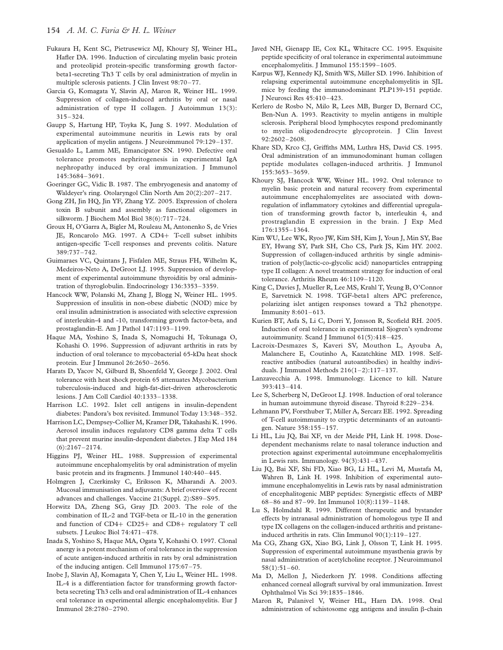- Fukaura H, Kent SC, Pietrusewicz MJ, Khoury SJ, Weiner HL, Hafler DA. 1996. Induction of circulating myelin basic protein and proteolipid protein-specific transforming growth factorbeta1-secreting Th3 T cells by oral administration of myelin in multiple sclerosis patients. J Clin Invest 98:70–77.
- Garcia G, Komagata Y, Slavin AJ, Maron R, Weiner HL. 1999. Suppression of collagen-induced arthritis by oral or nasal administration of type II collagen. J Autoimmun 13(3): 315–324.
- Gaupp S, Hartung HP, Toyka K, Jung S. 1997. Modulation of experimental autoimmune neuritis in Lewis rats by oral application of myelin antigens. J Neuroimmunol 79:129–137.
- Gesualdo L, Lamm ME, Emancipator SN. 1990. Defective oral tolerance promotes nephritogenesis in experimental IgA nephropathy induced by oral immunization. J Immunol 145:3684–3691.
- Goeringer GC, Vidic B. 1987. The embryogenesis and anatomy of Waldeyer's ring. Otolaryngol Clin North Am 20(2):207–217.
- Gong ZH, Jin HQ, Jin YF, Zhang YZ. 2005. Expression of cholera toxin B subunit and assembly as functional oligomers in silkworm. J Biochem Mol Biol 38(6):717–724.
- Groux H, O'Garra A, Bigler M, Rouleau M, Antonenko S, de Vries JE, Roncarolo MG. 1997. A CD4+ T-cell subset inhibits antigen-specific T-cell responses and prevents colitis. Nature 389:737–742.
- Guimaraes VC, Quintans J, Fisfalen ME, Straus FH, Wilhelm K, Medeiros-Neto A, DeGroot LJ. 1995. Suppression of development of experimental autoimmune thyroiditis by oral administration of thyroglobulin. Endocrinology 136:3353–3359.
- Hancock WW, Polanski M, Zhang J, Blogg N, Weiner HL. 1995. Suppression of insulitis in non-obese diabetic (NOD) mice by oral insulin administration is associated with selective expression of interleukin-4 and -10, transforming growth factor-beta, and prostaglandin-E. Am J Pathol 147:1193–1199.
- Haque MA, Yoshino S, Inada S, Nomaguchi H, Tokunaga O, Kohashi O. 1996. Suppression of adjuvant arthritis in rats by induction of oral tolerance to mycobacterial 65-kDa heat shock protein. Eur J Immunol 26:2650–2656.
- Harats D, Yacov N, Gilburd B, Shoenfeld Y, George J. 2002. Oral tolerance with heat shock protein 65 attenuates Mycobacterium tuberculosis-induced and high-fat-diet-driven atherosclerotic lesions. J Am Coll Cardiol 40:1333–1338.
- Harrison LC. 1992. Islet cell antigens in insulin-dependent diabetes: Pandora's box revisited. Immunol Today 13:348–352.
- Harrison LC, Dempsey-Collier M, Kramer DR, Takahashi K. 1996. Aerosol insulin induces regulatory CD8 gamma delta T cells that prevent murine insulin-dependent diabetes. J Exp Med 184 (6):2167–2174.
- Higgins PJ, Weiner HL. 1988. Suppression of experimental autoimmune encephalomyelitis by oral administration of myelin basic protein and its fragments. J Immunol 140:440–445.
- Holmgren J, Czerkinsky C, Eriksson K, Mharandi A. 2003. Mucosal immunisation and adjuvants: A brief overview of recent advances and challenges. Vaccine 21(Suppl. 2):S89–S95.
- Horwitz DA, Zheng SG, Gray JD. 2003. The role of the combination of IL-2 and TGF-beta or IL-10 in the generation and function of CD4+ CD25+ and CD8+ regulatory T cell subsets. J Leukoc Biol 74:471–478.
- Inada S, Yoshino S, Haque MA, Ogata Y, Kohashi O. 1997. Clonal anergy is a potent mechanism of oral tolerance in the suppression of acute antigen-induced arthritis in rats by oral administration of the inducing antigen. Cell Immunol 175:67–75.
- Inobe J, Slavin AJ, Komagata Y, Chen Y, Liu L, Weiner HL. 1998. IL-4 is a differentiation factor for transforming growth factorbeta secreting Th3 cells and oral administration of IL-4 enhances oral tolerance in experimental allergic encephalomyelitis. Eur J Immunol 28:2780–2790.
- Javed NH, Gienapp IE, Cox KL, Whitacre CC. 1995. Exquisite peptide specificity of oral tolerance in experimental autoimmune encephalomyelitis. J Immunol 155:1599–1605.
- Karpus WJ, Kennedy KJ, Smith WS, Miller SD. 1996. Inhibition of relapsing experimental autoimmune encephalomyelitis in SJL mice by feeding the immunodominant PLP139-151 peptide. J Neurosci Res 45:410–423.
- Kerlero de Rosbo N, Milo R, Lees MB, Burger D, Bernard CC, Ben-Nun A. 1993. Reactivity to myelin antigens in multiple sclerosis. Peripheral blood lymphocytes respond predominantly to myelin oligodendrocyte glycoprotein. J Clin Invest 92:2602–2608.
- Khare SD, Krco CJ, Griffiths MM, Luthra HS, David CS. 1995. Oral administration of an immunodominant human collagen peptide modulates collagen-induced arthritis. J Immunol 155:3653–3659.
- Khoury SJ, Hancock WW, Weiner HL. 1992. Oral tolerance to myelin basic protein and natural recovery from experimental autoimmune encephalomyelites are associated with downregulation of inflammatory cytokines and differential upregulation of transforming growth factor b, interleukin 4, and prostraglandin E expression in the brain. J Exp Med 176:1355–1364.
- Kim WU, Lee WK, Ryoo JW, Kim SH, Kim J, Youn J, Min SY, Bae EY, Hwang SY, Park SH, Cho CS, Park JS, Kim HY. 2002. Suppression of collagen-induced arthritis by single administration of poly(lactic-co-glycolic acid) nanoparticles entrapping type II collagen: A novel treatment strategy for induction of oral tolerance. Arthritis Rheum 46:1109–1120.
- King C, Davies J, Mueller R, Lee MS, Krahl T, Yeung B, O'Connor E, Sarvetnick N. 1998. TGF-beta1 alters APC preference, polarizing islet antigen responses toward a Th2 phenotype. Immunity 8:601–613.
- Kurien BT, Asfa S, Li C, Dorri Y, Jonsson R, Scofield RH. 2005. Induction of oral tolerance in experimental Sjogren's syndrome autoimmunity. Scand J Immunol 61(5):418–425.
- Lacroix-Desmazes S, Kaveri SV, Mouthon L, Ayouba A, Malanchere E, Coutinho A, Kazatchkine MD. 1998. Selfreactive antibodies (natural autoantibodies) in healthy individuals. J Immunol Methods 216(1–2):117–137.
- Lanzavecchia A. 1998. Immunology. Licence to kill. Nature 393:413–414.
- Lee S, Scherberg N, DeGroot LJ. 1998. Induction of oral tolerance in human autoimmune thyroid disease. Thyroid 8:229–234.
- Lehmann PV, Forsthuber T, Miller A, Sercarz EE. 1992. Spreading of T-cell autoimmunity to cryptic determinants of an autoantigen. Nature 358:155–157.
- Li HL, Liu JQ, Bai XF, vn der Meide PH, Link H. 1998. Dosedependent mechanisms relate to nasal tolerance induction and protection against experimental autoimmune encephalomyelitis in Lewis rats. Immunology. 94(3):431–437.
- Liu JQ, Bai XF, Shi FD, Xiao BG, Li HL, Levi M, Mustafa M, Wahren B, Link H. 1998. Inhibition of experimental autoimmune encephalomyelitis in Lewis rats by nasal administration of encephalitogenic MBP peptides: Synergistic effects of MBP 68–86 and 87–99. Int Immunol 10(8):1139–1148.
- Lu S, Holmdahl R. 1999. Different therapeutic and bystander effects by intranasal administration of homologous type II and type IX collagens on the collagen-induced arthritis and pristaneinduced arthritis in rats. Clin Immunol 90(1):119–127.
- Ma CG, Zhang GX, Xiao BG, Link J, Olsson T, Link H. 1995. Suppression of experimental autoimmune myasthenia gravis by nasal administration of acetylcholine receptor. J Neuroimmunol  $58(1):51-60.$
- Ma D, Mellon J, Niederkorn JY. 1998. Conditions affecting enhanced corneal allograft survival by oral immunization. Invest Ophthalmol Vis Sci 39:1835–1846.
- Maron R, Palanivel V, Weiner HL, Harn DA. 1998. Oral administration of schistosome egg antigens and insulin  $\beta$ -chain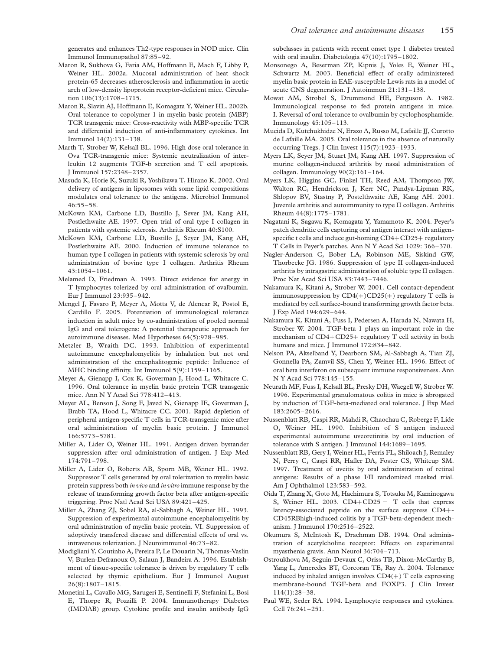generates and enhances Th2-type responses in NOD mice. Clin Immunol Immunopathol 87:85–92.

Maron R, Sukhova G, Faria AM, Hoffmann E, Mach F, Libby P, Weiner HL. 2002a. Mucosal administration of heat shock protein-65 decreases atherosclerosis and inflammation in aortic arch of low-density lipoprotein receptor-deficient mice. Circulation 106(13):1708–1715.

Maron R, Slavin AJ, Hoffmann E, Komagata Y, Weiner HL. 2002b. Oral tolerance to copolymer 1 in myelin basic protein (MBP) TCR transgenic mice: Cross-reactivity with MBP-specific TCR and differential induction of anti-inflammatory cytokines. Int Immunol 14(2):131–138.

- Marth T, Strober W, Kelsall BL. 1996. High dose oral tolerance in Ova TCR-transgenic mice: Systemic neutralization of interleukin 12 augments TGF-b secretion and T cell apoptosis. J Immunol 157:2348–2357.
- Masuda K, Horie K, Suzuki R, Yoshikawa T, Hirano K. 2002. Oral delivery of antigens in liposomes with some lipid compositions modulates oral tolerance to the antigens. Microbiol Immunol 46:55–58.
- McKown KM, Carbone LD, Bustillo J, Sever JM, Kang AH, Postlethwaite AE. 1997. Open trial of oral type I collagen in patients with systemic sclerosis. Arthritis Rheum 40:S100.
- McKown KM, Carbone LD, Bustillo J, Seyer JM, Kang AH, Postlethwaite AE. 2000. Induction of immune tolerance to human type I collagen in patients with systemic sclerosis by oral administration of bovine type I collagen. Arthritis Rheum 43:1054–1061.
- Melamed D, Friedman A. 1993. Direct evidence for anergy in T lymphocytes tolerized by oral administration of ovalbumin. Eur J Immunol 23:935–942.
- Mengel J, Favaro P, Meyer A, Motta V, de Alencar R, Postol E, Cardillo F. 2005. Potentiation of immunological tolerance induction in adult mice by co-administration of pooled normal IgG and oral tolerogens: A potential therapeutic approach for autoimmune diseases. Med Hypotheses 64(5):978–985.
- Metzler B, Wraith DC. 1993. Inhibition of experimental autoimmune encephalomyelitis by inhalation but not oral administration of the encephalitogenic peptide: Influence of MHC binding affinity. Int Immunol 5(9):1159–1165.
- Meyer A, Gienapp I, Cox K, Goverman J, Hood L, Whitacre C. 1996. Oral tolerance in myelin basic protein TCR transgenic mice. Ann N Y Acad Sci 778:412–413.
- Meyer AL, Benson J, Song F, Javed N, Gienapp IE, Goverman J, Brabb TA, Hood L, Whitacre CC. 2001. Rapid depletion of peripheral antigen-specific T cells in TCR-transgenic mice after oral administration of myelin basic protein. J Immunol 166:5773–5781.
- Miller A, Lider O, Weiner HL. 1991. Antigen driven bystander suppression after oral administration of antigen. J Exp Med 174:791–798.
- Miller A, Lider O, Roberts AB, Sporn MB, Weiner HL. 1992. Suppressor T cells generated by oral tolerization to myelin basic protein suppress both in vivo and in vitro immune response by the release of transforming growth factor beta after antigen-specific triggering. Proc Natl Acad Sci USA 89:421–425.
- Miller A, Zhang ZJ, Sobel RA, al-Sabbagh A, Weiner HL. 1993. Suppression of experimental autoimmune encephalomyelitis by oral administration of myelin basic protein. VI. Suppression of adoptively transfered disease and differential effects of oral vs. intravenous tolerization. J Neuroimmunol 46:73–82.
- Modigliani Y, Coutinho A, Pereira P, Le Douarin N, Thomas-Vaslin V, Burlen-Defranoux O, Salaun J, Bandeira A. 1996. Establishment of tissue-specific tolerance is driven by regulatory T cells selected by thymic epithelium. Eur J Immunol August 26(8):1807–1815.
- Monetini L, Cavallo MG, Sarugeri E, Sentinelli F, Stefanini L, Bosi E, Thorpe R, Pozzilli P. 2004. Immunotherapy Diabetes (IMDIAB) group. Cytokine profile and insulin antibody IgG

subclasses in patients with recent onset type 1 diabetes treated with oral insulin. Diabetologia 47(10):1795–1802.

- Monsonego A, Beserman ZP, Kipnis J, Yoles E, Weiner HL, Schwartz M. 2003. Beneficial effect of orally administered myelin basic protein in EAE-susceptible Lewis rats in a model of acute CNS degeneration. J Autoimmun 21:131–138.
- Mowat AM, Strobel S, Drummond HE, Ferguson A. 1982. Immunological response to fed protein antigens in mice. I. Reversal of oral tolerance to ovalbumin by cyclophosphamide. Immunology 45:105–113.
- Mucida D, Kutchukhidze N, Erazo A, Russo M, Lafaille JJ, Curotto de Lafaille MA. 2005. Oral tolerance in the absence of naturally occurring Tregs. J Clin Invest 115(7):1923–1933.
- Myers LK, Seyer JM, Stuart JM, Kang AH. 1997. Suppression of murine collagen-induced arthritis by nasal administration of collagen. Immunology  $90(2):161-164$ .
- Myers LK, Higgins GC, Finkel TH, Reed AM, Thompson JW, Walton RC, Hendrickson J, Kerr NC, Pandya-Lipman RK, Shlopov BV, Stastny P, Postelthwaite AE, Kang AH. 2001. Juvenile arthritis and autoimmunity to type II collagen. Arthritis Rheum 44(8):1775–1781.
- Nagatani K, Sagawa K, Komagata Y, Yamamoto K. 2004. Peyer's patch dendritic cells capturing oral antigen interact with antigenspecific t cells and induce gut-homing  $CD4+CD25+$  regulatory T Cells in Peyer's patches. Ann N Y Acad Sci 1029: 366–370.
- Nagler-Anderson C, Bober LA, Robinson ME, Siskind GW, Thorbecke JG. 1986. Suppression of type II collagen-induced arthritis by intragastric administration of soluble type II collagen. Proc Nat Acad Sci USA 83:7443–7446.
- Nakamura K, Kitani A, Strober W. 2001. Cell contact-dependent immunosuppression by  $CD4(+)CD25(+)$  regulatory T cells is mediated by cell surface-bound transforming growth factor beta. J Exp Med 194:629–644.
- Nakamura K, Kitani A, Fuss I, Pedersen A, Harada N, Nawata H, Strober W. 2004. TGF-beta 1 plays an important role in the mechanism of  $CD4+CD25+$  regulatory T cell activity in both humans and mice. J Immunol 172:834–842.
- Nelson PA, Akselband Y, Dearborn SM, Al-Sabbagh A, Tian ZJ, Gonnella PA, Zamvil SS, Chen Y, Weiner HL. 1996. Effect of oral beta interferon on subsequent immune responsiveness. Ann N Y Acad Sci 778:145–155.
- Neurath MF, Fuss I, Kelsall BL, Presky DH, Waegell W, Strober W. 1996. Experimental granulomatous colitis in mice is abrogated by induction of TGF-beta-mediated oral tolerance. J Exp Med 183:2605–2616.
- Nussenblatt RB, Caspi RR, Mahdi R, Chaochau C, Roberge F, Lide O, Weiner HL. 1990. Inhibition of S antigen induced experimental autoimmune uveoretinitis by oral induction of tolerance with S antigen. J Immunol 144:1689-1695.
- Nussenblatt RB, Gery I, Weiner HL, Ferris FL, Shiloach J, Remaley N, Perry C, Caspi RR, Hafler DA, Foster CS, Whitcup SM. 1997. Treatment of uveitis by oral administration of retinal antigens: Results of a phase I/II randomized masked trial. Am J Ophthalmol 123:583–592.
- Oida T, Zhang X, Goto M, Hachimura S, Totsuka M, Kaminogawa S, Weiner HL. 2003.  $CD4+CD25 - T$  cells that express latency-associated peptide on the surface suppress CD4+-CD45RBhigh-induced colitis by a TGF-beta-dependent mechanism. J Immunol 170:2516–2522.
- Okumura S, McIntosh K, Drachman DB. 1994. Oral administration of acetylcholine receptor: Effects on experimental myasthenia gravis. Ann Neurol 36:704–713.
- Ostroukhova M, Seguin-Devaux C, Oriss TB, Dixon-McCarthy B, Yang L, Ameredes BT, Corcoran TE, Ray A. 2004. Tolerance induced by inhaled antigen involves  $CD4(+)$  T cells expressing membrane-bound TGF-beta and FOXP3. J Clin Invest 114(1):28–38.
- Paul WE, Seder RA. 1994. Lymphocyte responses and cytokines. Cell 76:241–251.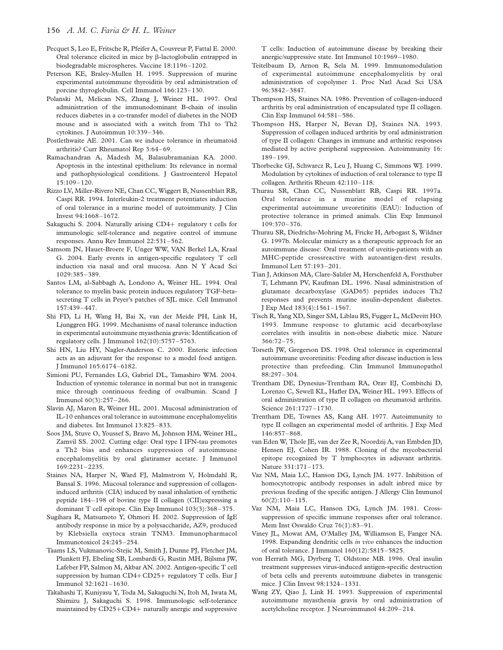- Pecquet S, Leo E, Fritsche R, Pfeifer A, Couvreur P, Fattal E. 2000. Oral tolerance elicited in mice by  $\beta$ -lactoglobulin entrapped in biodegradable microspheres. Vaccine 18:1196–1202.
- Peterson KE, Braley-Mullen H. 1995. Suppression of murine experimental autoimmune thyroiditis by oral administration of porcine thyroglobulin. Cell Immunol 166:123–130.
- Polanski M, Melican NS, Zhang J, Weiner HL. 1997. Oral administration of the immunodominant B-chain of insulin reduces diabetes in a co-transfer model of diabetes in the NOD mouse and is associated with a switch from Th1 to Th2 cytokines. J Autoimmun 10:339–346.
- Postlethwaite AE. 2001. Can we induce tolerance in rheumatoid arthritis? Curr Rheumatol Rep 3:64–69.
- Ramachandran A, Madesh M, Balasubramanian KA. 2000. Apoptosis in the intestinal epithelium: Its relevance in normal and pathophysiological conditions. J Gastroenterol Hepatol 15:109–120.
- Rizzo LV, Miller-Rivero NE, Chan CC, Wiggert B, Nussenblatt RB, Caspi RR. 1994. Interleukin-2 treatment potentiates induction of oral tolerance in a murine model of autoimmunity. J Clin Invest 94:1668–1672.
- Sakaguchi S. 2004. Naturally arising  $CD4+$  regulatory t cells for immunologic self-tolerance and negative control of immune responses. Annu Rev Immunol 22:531–562.
- Samsom JN, Hauet-Broere F, Unger WW, VAN Berkel LA, Kraal G. 2004. Early events in antigen-specific regulatory T cell induction via nasal and oral mucosa. Ann N Y Acad Sci 1029:385–389.
- Santos LM, al-Sabbagh A, Londono A, Weiner HL. 1994. Oral tolerance to myelin basic protein induces regulatory TGF-betasecreting T cells in Peyer's patches of SJL mice. Cell Immunol 157:439–447.
- Shi FD, Li H, Wang H, Bai X, van der Meide PH, Link H, Ljunggren HG. 1999. Mechanisms of nasal tolerance induction in experimental autoimmune myasthenia gravis: Identification of regulatory cells. J Immunol 162(10):5757–5763.
- Shi HN, Liu HY, Nagler-Anderson C. 2000. Enteric infection acts as an adjuvant for the response to a model food antigen. J Immunol 165:6174–6182.
- Simioni PU, Fernandes LG, Gabriel DL, Tamashiro WM. 2004. Induction of systemic tolerance in normal but not in transgenic mice through continuous feeding of ovalbumin. Scand J Immunol 60(3):257–266.
- Slavin AJ, Maron R, Weiner HL. 2001. Mucosal administration of IL-10 enhances oral tolerance in autoimmune encephalomyelitis and diabetes. Int Immunol 13:825–833.
- Soos JM, Stuve O, Youssef S, Bravo M, Johnson HM, Weiner HL, Zamvil SS. 2002. Cutting edge: Oral type I IFN-tau promotes a Th2 bias and enhances suppression of autoimmune encephalomyelitis by oral glatiramer acetate. J Immunol 169:2231–2235.
- Staines NA, Harper N, Ward FJ, Malmstrom V, Holmdahl R, Bansal S. 1996. Mucosal tolerance and suppression of collageninduced arthritis (CIA) induced by nasal inhalation of synthetic peptide 184–198 of bovine type II collagen (CII)expressing a dominant T cell epitope. Clin Exp Immunol 103(3):368–375.
- Sugihara R, Matsumoto Y, Ohmori H. 2002. Suppression of IgE antibody response in mice by a polysaccharide, AZ9, produced by Klebsiella oxytoca strain TNM3. Immunopharmacol Immunotoxicol 24:245–254.
- Taams LS, Vukmanovic-Stejic M, Smith J, Dunne PJ, Fletcher JM, Plunkett FJ, Ebeling SB, Lombardi G, Rustin MH, Bijlsma JW, Lafeber FP, Salmon M, Akbar AN. 2002. Antigen-specific T cell suppression by human  $CD4+CD25+$  regulatory T cells. Eur J Immunol 32:1621–1630.
- Takahashi T, Kuniyasu Y, Toda M, Sakaguchi N, Itoh M, Iwata M, Shimizu J, Sakaguchi S. 1998. Immunologic self-tolerance maintained by  $CD25+CD4+$  naturally anergic and suppressive

T cells: Induction of autoimmune disease by breaking their anergic/suppressive state. Int Immunol 10:1969–1980.

- Teitelbaum D, Arnon R, Sela M. 1999. Immunomodulation of experimental autoimmune encephalomyelitis by oral administration of copolymer 1. Proc Natl Acad Sci USA 96:3842–3847.
- Thompson HS, Staines NA. 1986. Prevention of collagen-induced arthritis by oral administration of encapsulated type II collagen. Clin Exp Immunol 64:581–586.
- Thompson HS, Harper N, Bevan DJ, Staines NA. 1993. Suppression of collagen induced arthritis by oral administration of type II collagen: Changes in immune and arthritic responses mediated by active peripheral suppression. Autoimmunity 16: 189–199.
- Thorbecke GJ, Schwarcz R, Leu J, Huang C, Simmons WJ. 1999. Modulation by cytokines of induction of oral tolerance to type II collagen. Arthritis Rheum 42:110–118.
- Thurau SR, Chan CC, Nussenblatt RB, Caspi RR. 1997a. Oral tolerance in a murine model of relapsing experimental autoimmune uveoretinitis (EAU): Induction of protective tolerance in primed animals. Clin Exp Immunol 109:370–376.
- Thurau SR, Diedrichs-Mohring M, Fricke H, Arbogast S, Wildner G. 1997b. Molecular mimicry as a therapeutic approach for an autoimmune disease: Oral treatment of uveitis-patients with an MHC-peptide crossreactive with autoantigen-first results. Immunol Lett 57:193–201.
- Tian J, Atkinson MA, Clare-Salzler M, Herschenfeld A, Forsthuber T, Lehmann PV, Kaufman DL. 1996. Nasal administration of glutamate decarboxylase (GAD65) peptides induces Th2 responses and prevents murine insulin-dependent diabetes. J Exp Med 183(4):1561–1567.
- Tisch R, Yang XD, Singer SM, Liblau RS, Fugger L, McDevitt HO. 1993. Immune response to glutamic acid decarboxylase correlates with insulitis in non-obese diabetic mice. Nature 366:72–75.
- Torseth JW, Gregerson DS. 1998. Oral tolerance in experimental autoimmune uveoretinitis: Feeding after disease induction is less protective than prefeeding. Clin Immunol Immunopathol 88:297–304.
- Trentham DE, Dynesius-Trentham RA, Orav EJ, Combitchi D, Lorenzo C, Sewell KL, Hafler DA, Weiner HL. 1993. Effects of oral administration of type II collagen on rheumatoid arthritis. Science 261:1727–1730.
- Trentham DE, Townes AS, Kang AH. 1977. Autoimmunity to type II collagen an experimental model of arthritis. J Exp Med 146:857–868.
- van Eden W, Thole JE, van der Zee R, Noordzij A, van Embden JD, Hensen EJ, Cohen IR. 1988. Cloning of the mycobacterial epitope recognized by T lymphocytes in adjuvant arthritis. Nature 331:171–173.
- Vaz NM, Maia LC, Hanson DG, Lynch JM. 1977. Inhibition of homocytotropic antibody responses in adult inbred mice by previous feeding of the specific antigen. J Allergy Clin Immunol 60(2):110–115.
- Vaz NM, Maia LC, Hanson DG, Lynch JM. 1981. Crosssuppression of specific immune responses after oral tolerance. Mem Inst Oswaldo Cruz 76(1):83–91.
- Viney JL, Mowat AM, O'Malley JM, Williamson E, Fanger NA. 1998. Expanding dendritic cells in vivo enhances the induction of oral tolerance. J Immunol 160(12):5815–5825.
- von Herrath MG, Dyrberg T, Oldstone MB. 1996. Oral insulin treatment suppresses virus-induced antigen-specific destruction of beta cells and prevents autoimmune diabetes in transgenic mice. J Clin Invest 98:1324–1331.
- Wang ZY, Qiao J, Link H. 1993. Suppression of experimental autoimmune myasthenia gravis by oral administration of acetylcholine receptor. J Neuroimmunol 44:209–214.